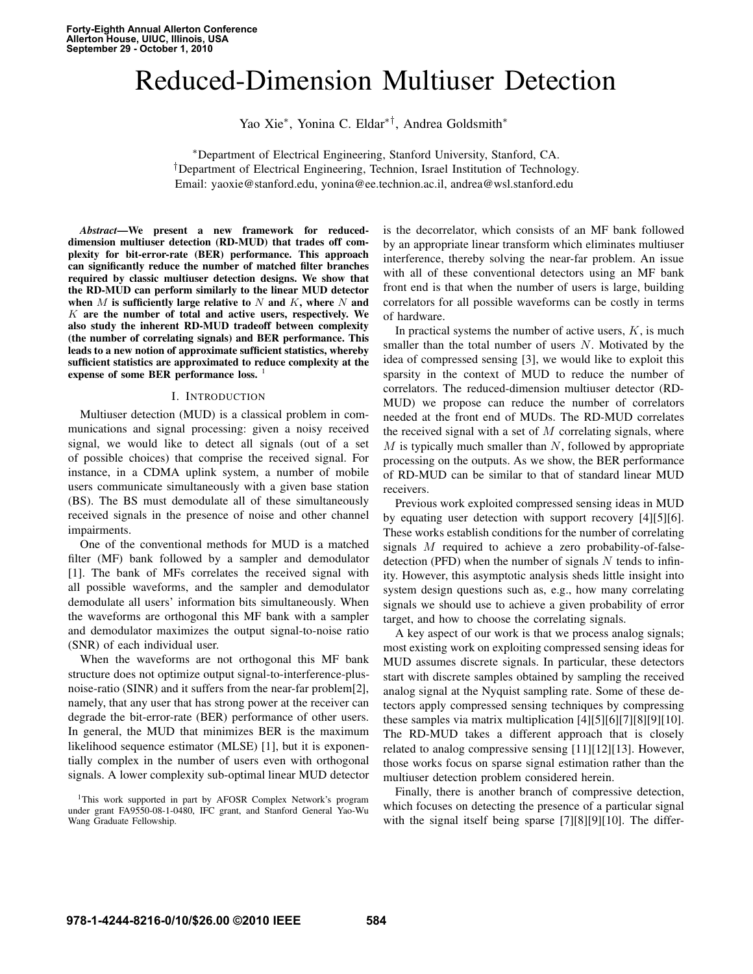# Reduced-Dimension Multiuser Detection

Yao Xie<sup>∗</sup> , Yonina C. Eldar∗†, Andrea Goldsmith<sup>∗</sup>

<sup>∗</sup>Department of Electrical Engineering, Stanford University, Stanford, CA. †Department of Electrical Engineering, Technion, Israel Institution of Technology. Email: yaoxie@stanford.edu, yonina@ee.technion.ac.il, andrea@wsl.stanford.edu

*Abstract***—We present a new framework for reduceddimension multiuser detection (RD-MUD) that trades off complexity for bit-error-rate (BER) performance. This approach can significantly reduce the number of matched filter branches required by classic multiuser detection designs. We show that the RD-MUD can perform similarly to the linear MUD detector when** M **is sufficiently large relative to** N **and** K**, where** N **and** K **are the number of total and active users, respectively. We also study the inherent RD-MUD tradeoff between complexity (the number of correlating signals) and BER performance. This leads to a new notion of approximate sufficient statistics, whereby sufficient statistics are approximated to reduce complexity at the expense of some BER performance loss.** <sup>1</sup>

#### I. INTRODUCTION

Multiuser detection (MUD) is a classical problem in communications and signal processing: given a noisy received signal, we would like to detect all signals (out of a set of possible choices) that comprise the received signal. For instance, in a CDMA uplink system, a number of mobile users communicate simultaneously with a given base station (BS). The BS must demodulate all of these simultaneously received signals in the presence of noise and other channel impairments.

One of the conventional methods for MUD is a matched filter (MF) bank followed by a sampler and demodulator [1]. The bank of MFs correlates the received signal with all possible waveforms, and the sampler and demodulator demodulate all users' information bits simultaneously. When the waveforms are orthogonal this MF bank with a sampler and demodulator maximizes the output signal-to-noise ratio (SNR) of each individual user.

When the waveforms are not orthogonal this MF bank structure does not optimize output signal-to-interference-plusnoise-ratio (SINR) and it suffers from the near-far problem[2], namely, that any user that has strong power at the receiver can degrade the bit-error-rate (BER) performance of other users. In general, the MUD that minimizes BER is the maximum likelihood sequence estimator (MLSE) [1], but it is exponentially complex in the number of users even with orthogonal signals. A lower complexity sub-optimal linear MUD detector

is the decorrelator, which consists of an MF bank followed by an appropriate linear transform which eliminates multiuser interference, thereby solving the near-far problem. An issue with all of these conventional detectors using an MF bank front end is that when the number of users is large, building correlators for all possible waveforms can be costly in terms of hardware.

In practical systems the number of active users,  $K$ , is much smaller than the total number of users N. Motivated by the idea of compressed sensing [3], we would like to exploit this sparsity in the context of MUD to reduce the number of correlators. The reduced-dimension multiuser detector (RD-MUD) we propose can reduce the number of correlators needed at the front end of MUDs. The RD-MUD correlates the received signal with a set of  $M$  correlating signals, where  $M$  is typically much smaller than  $N$ , followed by appropriate processing on the outputs. As we show, the BER performance of RD-MUD can be similar to that of standard linear MUD receivers.

Previous work exploited compressed sensing ideas in MUD by equating user detection with support recovery [4][5][6]. These works establish conditions for the number of correlating signals M required to achieve a zero probability-of-falsedetection (PFD) when the number of signals  $N$  tends to infinity. However, this asymptotic analysis sheds little insight into system design questions such as, e.g., how many correlating signals we should use to achieve a given probability of error target, and how to choose the correlating signals.

A key aspect of our work is that we process analog signals; most existing work on exploiting compressed sensing ideas for MUD assumes discrete signals. In particular, these detectors start with discrete samples obtained by sampling the received analog signal at the Nyquist sampling rate. Some of these detectors apply compressed sensing techniques by compressing these samples via matrix multiplication [4][5][6][7][8][9][10]. The RD-MUD takes a different approach that is closely related to analog compressive sensing [11][12][13]. However, those works focus on sparse signal estimation rather than the multiuser detection problem considered herein.

Finally, there is another branch of compressive detection, which focuses on detecting the presence of a particular signal with the signal itself being sparse [7][8][9][10]. The differ-

<sup>&</sup>lt;sup>1</sup>This work supported in part by AFOSR Complex Network's program under grant FA9550-08-1-0480, IFC grant, and Stanford General Yao-Wu Wang Graduate Fellowship.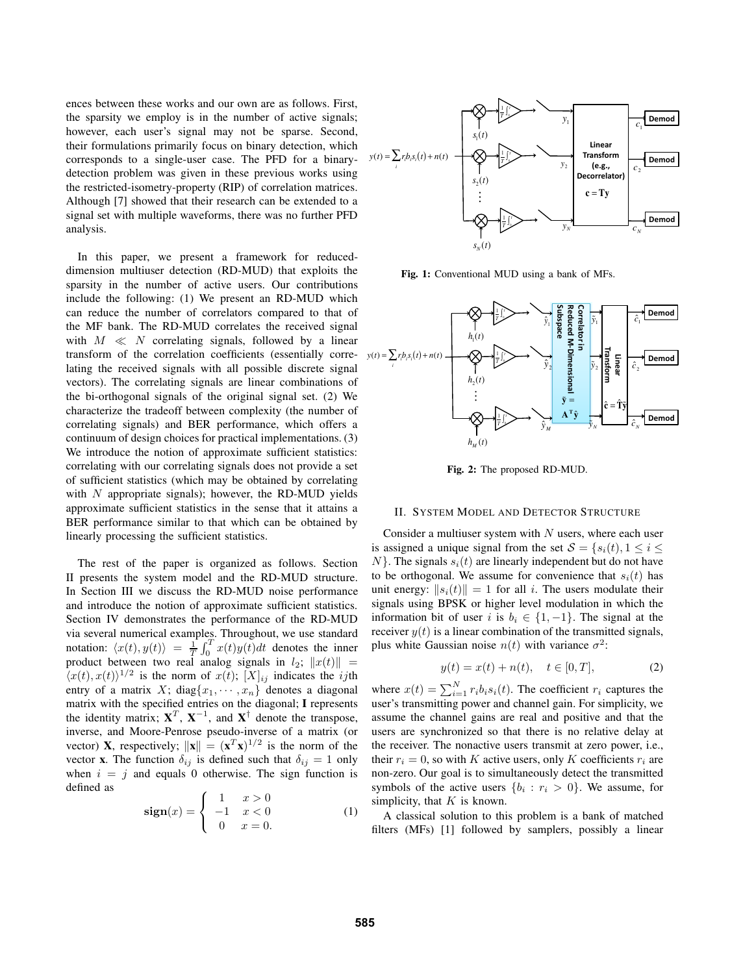ences between these works and our own are as follows. First, the sparsity we employ is in the number of active signals; however, each user's signal may not be sparse. Second, their formulations primarily focus on binary detection, which corresponds to a single-user case. The PFD for a binarydetection problem was given in these previous works using the restricted-isometry-property (RIP) of correlation matrices. Although [7] showed that their research can be extended to a signal set with multiple waveforms, there was no further PFD analysis.

In this paper, we present a framework for reduceddimension multiuser detection (RD-MUD) that exploits the sparsity in the number of active users. Our contributions include the following: (1) We present an RD-MUD which can reduce the number of correlators compared to that of the MF bank. The RD-MUD correlates the received signal with  $M \ll N$  correlating signals, followed by a linear transform of the correlation coefficients (essentially correlating the received signals with all possible discrete signal vectors). The correlating signals are linear combinations of the bi-orthogonal signals of the original signal set. (2) We characterize the tradeoff between complexity (the number of correlating signals) and BER performance, which offers a continuum of design choices for practical implementations. (3) We introduce the notion of approximate sufficient statistics: correlating with our correlating signals does not provide a set of sufficient statistics (which may be obtained by correlating with  $N$  appropriate signals); however, the RD-MUD yields approximate sufficient statistics in the sense that it attains a BER performance similar to that which can be obtained by linearly processing the sufficient statistics.

The rest of the paper is organized as follows. Section II presents the system model and the RD-MUD structure. In Section III we discuss the RD-MUD noise performance and introduce the notion of approximate sufficient statistics. Section IV demonstrates the performance of the RD-MUD via several numerical examples. Throughout, we use standard notation:  $\langle x(t), y(t) \rangle = \frac{1}{T} \int_0^T x(t)y(t)dt$  denotes the inner product between two real analog signals in  $l_2$ ;  $||x(t)||$  =  $\langle x(t), x(t) \rangle^{1/2}$  is the norm of  $x(t)$ ;  $[X]_{ij}$  indicates the *ij*th entry of a matrix X; diag ${x_1, \dots, x_n}$  denotes a diagonal matrix with the specified entries on the diagonal; **I** represents the identity matrix;  $X^T$ ,  $X^{-1}$ , and  $X^{\dagger}$  denote the transpose, inverse, and Moore-Penrose pseudo-inverse of a matrix (or vector) **X**, respectively;  $\|\mathbf{x}\| = (\mathbf{x}^T \mathbf{x})^{1/2}$  is the norm of the vector **x**. The function  $\delta_{ij}$  is defined such that  $\delta_{ij} = 1$  only when  $i = j$  and equals 0 otherwise. The sign function is defined as

$$
\text{sign}(x) = \begin{cases} 1 & x > 0 \\ -1 & x < 0 \\ 0 & x = 0. \end{cases}
$$
 (1)



**Fig. 1:** Conventional MUD using a bank of MFs.



**Fig. 2:** The proposed RD-MUD.

#### II. SYSTEM MODEL AND DETECTOR STRUCTURE

Consider a multiuser system with  $N$  users, where each user is assigned a unique signal from the set  $S = \{s_i(t), 1 \le i \le$  $N$ . The signals  $s_i(t)$  are linearly independent but do not have to be orthogonal. We assume for convenience that  $s_i(t)$  has unit energy:  $||s_i(t)|| = 1$  for all i. The users modulate their signals using BPSK or higher level modulation in which the information bit of user i is  $b_i \in \{1, -1\}$ . The signal at the receiver  $y(t)$  is a linear combination of the transmitted signals, plus white Gaussian noise  $n(t)$  with variance  $\sigma^2$ :

$$
y(t) = x(t) + n(t), \quad t \in [0, T], \tag{2}
$$

where  $x(t) = \sum_{i=1}^{N} r_i b_i s_i(t)$ . The coefficient  $r_i$  captures the user's transmitting power and channel gain. For simplicity, we assume the channel gains are real and positive and that the users are synchronized so that there is no relative delay at the receiver. The nonactive users transmit at zero power, i.e., their  $r_i = 0$ , so with K active users, only K coefficients  $r_i$  are non-zero. Our goal is to simultaneously detect the transmitted symbols of the active users  $\{b_i : r_i > 0\}$ . We assume, for simplicity, that  $K$  is known.

A classical solution to this problem is a bank of matched filters (MFs) [1] followed by samplers, possibly a linear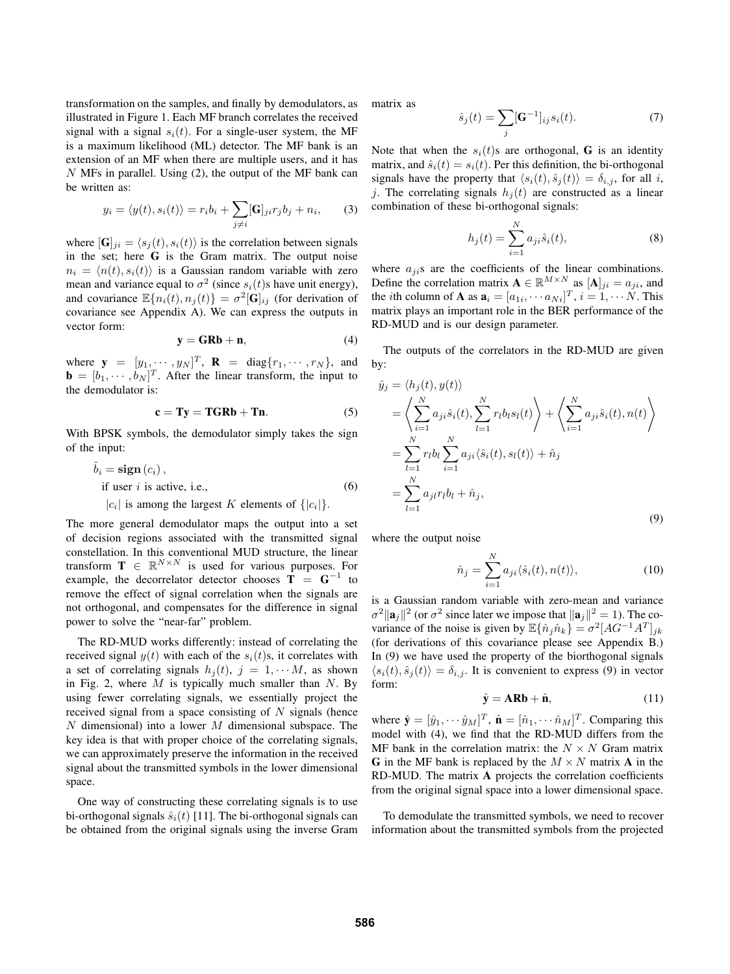transformation on the samples, and finally by demodulators, as illustrated in Figure 1. Each MF branch correlates the received signal with a signal  $s_i(t)$ . For a single-user system, the MF is a maximum likelihood (ML) detector. The MF bank is an extension of an MF when there are multiple users, and it has  $N$  MFs in parallel. Using  $(2)$ , the output of the MF bank can be written as:

$$
y_i = \langle y(t), s_i(t) \rangle = r_i b_i + \sum_{j \neq i} [\mathbf{G}]_{ji} r_j b_j + n_i,
$$
 (3)

where  $[\mathbf{G}]_{ii} = \langle s_i(t), s_i(t) \rangle$  is the correlation between signals in the set; here **G** is the Gram matrix. The output noise  $n_i = \langle n(t), s_i(t) \rangle$  is a Gaussian random variable with zero mean and variance equal to  $\sigma^2$  (since  $s_i(t)$ s have unit energy), and covariance  $\mathbb{E}\{n_i(t), n_j(t)\} = \sigma^2[\mathbf{G}]_{ij}$  (for derivation of covariance see Appendix A). We can express the outputs in vector form:

$$
y = GRb + n,\tag{4}
$$

where  $\mathbf{y} = [y_1, \dots, y_N]^T$ ,  $\mathbf{R} = \text{diag}\{r_1, \dots, r_N\}$ , and  $\mathbf{b} = [b_1, \cdots, b_N]^T$ . After the linear transform, the input to the demodulator is:

$$
c = Ty = TGRb + Tn.
$$
 (5)

With BPSK symbols, the demodulator simply takes the sign of the input:

$$
\hat{b}_i = \text{sign}(c_i),
$$
  
if user *i* is active, i.e., (6)

 $|c_i|$  is among the largest K elements of  $\{|c_i|\}$ .

The more general demodulator maps the output into a set of decision regions associated with the transmitted signal constellation. In this conventional MUD structure, the linear transform  $T \in \mathbb{R}^{N \times N}$  is used for various purposes. For example, the decorrelator detector chooses  $T = G^{-1}$  to remove the effect of signal correlation when the signals are not orthogonal, and compensates for the difference in signal power to solve the "near-far" problem.

The RD-MUD works differently: instead of correlating the received signal  $y(t)$  with each of the  $s_i(t)$ s, it correlates with a set of correlating signals  $h_i(t)$ ,  $j = 1, \dots M$ , as shown in Fig. 2, where  $M$  is typically much smaller than  $N$ . By using fewer correlating signals, we essentially project the received signal from a space consisting of  $N$  signals (hence  $N$  dimensional) into a lower  $M$  dimensional subspace. The key idea is that with proper choice of the correlating signals, we can approximately preserve the information in the received signal about the transmitted symbols in the lower dimensional space.

One way of constructing these correlating signals is to use bi-orthogonal signals  $\hat{s}_i(t)$  [11]. The bi-orthogonal signals can be obtained from the original signals using the inverse Gram matrix as

$$
\hat{s}_j(t) = \sum_j [\mathbf{G}^{-1}]_{ij} s_i(t). \tag{7}
$$

Note that when the  $s_i(t)$ s are orthogonal, **G** is an identity matrix, and  $\hat{s}_i(t) = s_i(t)$ . Per this definition, the bi-orthogonal signals have the property that  $\langle s_i(t), \hat{s}_j(t) \rangle = \delta_{i,j}$ , for all i, j. The correlating signals  $h_i(t)$  are constructed as a linear combination of these bi-orthogonal signals:

$$
h_j(t) = \sum_{i=1}^{N} a_{ji} \hat{s}_i(t),
$$
\n(8)

where  $a_{ji}$ s are the coefficients of the linear combinations. Define the correlation matrix  $\mathbf{A} \in \mathbb{R}^{M \times N}$  as  $[\mathbf{A}]_{ji} = a_{ji}$ , and the *i*th column of **A** as  $\mathbf{a}_i = [a_{1i}, \cdots a_{Ni}]^T$ ,  $i = 1, \cdots N$ . This matrix plays an important role in the BER performance of the RD-MUD and is our design parameter.

The outputs of the correlators in the RD-MUD are given by:

$$
\hat{y}_j = \langle h_j(t), y(t) \rangle
$$
\n
$$
= \left\langle \sum_{i=1}^N a_{ji} \hat{s}_i(t), \sum_{l=1}^N r_l b_l s_l(t) \right\rangle + \left\langle \sum_{i=1}^N a_{ji} \hat{s}_i(t), n(t) \right\rangle
$$
\n
$$
= \sum_{l=1}^N r_l b_l \sum_{i=1}^N a_{ji} \langle \hat{s}_i(t), s_l(t) \rangle + \hat{n}_j
$$
\n
$$
= \sum_{l=1}^N a_{jl} r_l b_l + \hat{n}_j,
$$
\n(9)

where the output noise

$$
\hat{n}_j = \sum_{i=1}^N a_{ji} \langle \hat{s}_i(t), n(t) \rangle, \tag{10}
$$

is a Gaussian random variable with zero-mean and variance  $\sigma^2 \|\mathbf{a}_j\|^2$  (or  $\sigma^2$  since later we impose that  $\|\mathbf{a}_j\|^2 = 1$ ). The covariance of the noise is given by  $\mathbb{E} \{\hat{n}_j \hat{n}_k\} = \sigma^2 [AG^{-1}A^T]_{jk}$ (for derivations of this covariance please see Appendix B.) In (9) we have used the property of the biorthogonal signals  $\langle s_i(t), \hat{s}_j(t) \rangle = \delta_{i,j}$ . It is convenient to express (9) in vector form:

$$
\hat{\mathbf{y}} = \mathbf{ARb} + \hat{\mathbf{n}},\tag{11}
$$

where  $\hat{\mathbf{y}} = [\hat{y}_1, \cdots \hat{y}_M]^T$ ,  $\hat{\mathbf{n}} = [\hat{n}_1, \cdots \hat{n}_M]^T$ . Comparing this model with (4), we find that the RD-MUD differs from the MF bank in the correlation matrix: the  $N \times N$  Gram matrix **G** in the MF bank is replaced by the  $M \times N$  matrix **A** in the RD-MUD. The matrix **A** projects the correlation coefficients from the original signal space into a lower dimensional space.

To demodulate the transmitted symbols, we need to recover information about the transmitted symbols from the projected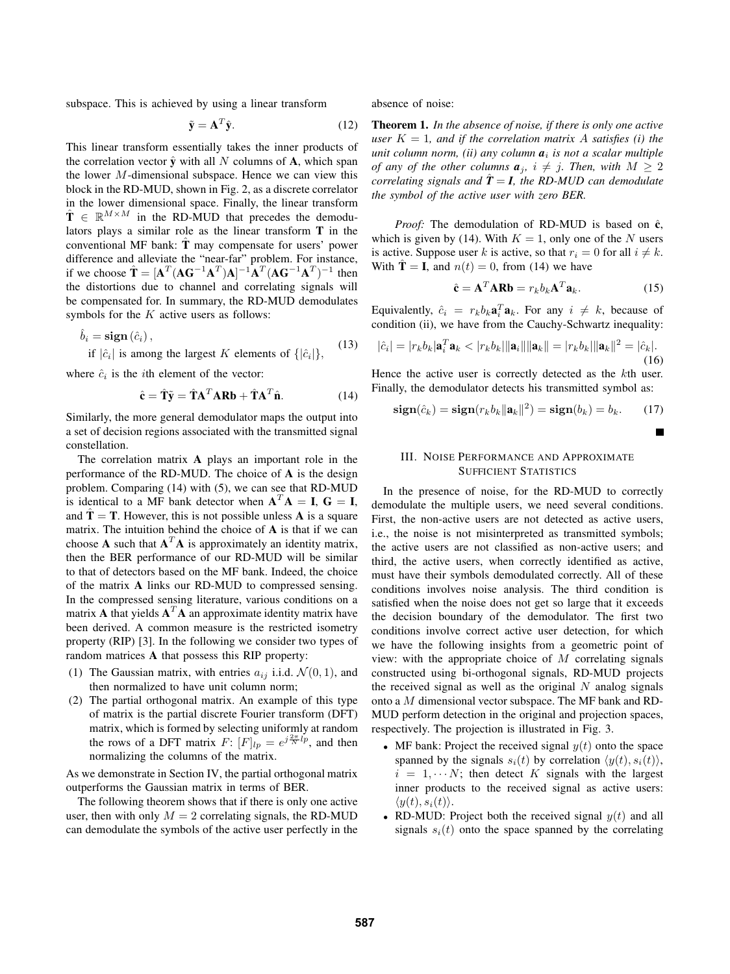subspace. This is achieved by using a linear transform

$$
\tilde{\mathbf{y}} = \mathbf{A}^T \hat{\mathbf{y}}.\tag{12}
$$

This linear transform essentially takes the inner products of the correlation vector  $\hat{y}$  with all N columns of A, which span the lower  $M$ -dimensional subspace. Hence we can view this block in the RD-MUD, shown in Fig. 2, as a discrete correlator in the lower dimensional space. Finally, the linear transform  $\hat{\mathbf{T}} \in \mathbb{R}^{M \times M}$  in the RD-MUD that precedes the demodulators plays a similar role as the linear transform **T** in the conventional MF bank: **T**ˆ may compensate for users' power difference and alleviate the "near-far" problem. For instance, if we choose  $\hat{\mathbf{T}} = [\mathbf{A}^T (\mathbf{A}\mathbf{G}^{-1}\mathbf{A}^T)\mathbf{A}]^{-1}\mathbf{A}^T (\mathbf{A}\mathbf{G}^{-1}\mathbf{A}^T)^{-1}$  then the distortions due to channel and correlating signals will be compensated for. In summary, the RD-MUD demodulates symbols for the  $K$  active users as follows:

$$
\hat{b}_i = \text{sign}\left(\hat{c}_i\right),\tag{13}
$$

if 
$$
|\hat{c}_i|
$$
 is among the largest K elements of  $\{|\hat{c}_i|\}$ ,

where  $\hat{c}_i$  is the *i*th element of the vector:

$$
\hat{\mathbf{c}} = \hat{\mathbf{T}} \tilde{\mathbf{y}} = \hat{\mathbf{T}} \mathbf{A}^T \mathbf{A} \mathbf{R} \mathbf{b} + \hat{\mathbf{T}} \mathbf{A}^T \hat{\mathbf{n}}.
$$
 (14)

Similarly, the more general demodulator maps the output into a set of decision regions associated with the transmitted signal constellation.

The correlation matrix **A** plays an important role in the performance of the RD-MUD. The choice of **A** is the design problem. Comparing (14) with (5), we can see that RD-MUD is identical to a MF bank detector when  $A^T A = I$ ,  $G = I$ , and  $\hat{\mathbf{T}} = \mathbf{T}$ . However, this is not possible unless **A** is a square matrix. The intuition behind the choice of **A** is that if we can choose **A** such that  $A^T A$  is approximately an identity matrix, then the BER performance of our RD-MUD will be similar to that of detectors based on the MF bank. Indeed, the choice of the matrix **A** links our RD-MUD to compressed sensing. In the compressed sensing literature, various conditions on a matrix **A** that yields  $A^T A$  an approximate identity matrix have been derived. A common measure is the restricted isometry property (RIP) [3]. In the following we consider two types of random matrices **A** that possess this RIP property:

- (1) The Gaussian matrix, with entries  $a_{ij}$  i.i.d.  $\mathcal{N}(0, 1)$ , and then normalized to have unit column norm;
- (2) The partial orthogonal matrix. An example of this type of matrix is the partial discrete Fourier transform (DFT) matrix, which is formed by selecting uniformly at random the rows of a DFT matrix  $F: [F]_{lp} = e^{j\frac{2\pi}{N}lp}$ , and then normalizing the columns of the matrix.

As we demonstrate in Section IV, the partial orthogonal matrix outperforms the Gaussian matrix in terms of BER.

The following theorem shows that if there is only one active user, then with only  $M = 2$  correlating signals, the RD-MUD can demodulate the symbols of the active user perfectly in the absence of noise:

**Theorem 1.** *In the absence of noise, if there is only one active user*  $K = 1$ *, and if the correlation matrix A satisfies (i) the unit column norm, (ii) any column a*<sup>i</sup> *is not a scalar multiple of any of the other columns*  $a_j$ ,  $i \neq j$ . Then, with  $M \geq 2$ *correlating signals and*  $\hat{T} = I$ *, the RD-MUD can demodulate the symbol of the active user with zero BER.*

*Proof:* The demodulation of RD-MUD is based on  $\hat{c}$ , which is given by (14). With  $K = 1$ , only one of the N users is active. Suppose user k is active, so that  $r_i = 0$  for all  $i \neq k$ . With  $\mathbf{\hat{T}} = \mathbf{I}$ , and  $n(t) = 0$ , from (14) we have

$$
\hat{\mathbf{c}} = \mathbf{A}^T \mathbf{A} \mathbf{R} \mathbf{b} = r_k b_k \mathbf{A}^T \mathbf{a}_k.
$$
 (15)

Equivalently,  $\hat{c}_i = r_k b_k \mathbf{a}_i^T \mathbf{a}_k$ . For any  $i \neq k$ , because of condition (ii), we have from the Cauchy-Schwartz inequality:

$$
|\hat{c}_i| = |r_k b_k| \mathbf{a}_i^T \mathbf{a}_k < |r_k b_k| \|\mathbf{a}_i\| \|\mathbf{a}_k\| = |r_k b_k| \|\mathbf{a}_k\|^2 = |\hat{c}_k|.
$$
\n(16)

Hence the active user is correctly detected as the kth user. Finally, the demodulator detects his transmitted symbol as:

$$
\mathbf{sign}(\hat{c}_k) = \mathbf{sign}(r_k b_k \|\mathbf{a}_k\|^2) = \mathbf{sign}(b_k) = b_k. \tag{17}
$$

## III. NOISE PERFORMANCE AND APPROXIMATE SUFFICIENT STATISTICS

In the presence of noise, for the RD-MUD to correctly demodulate the multiple users, we need several conditions. First, the non-active users are not detected as active users, i.e., the noise is not misinterpreted as transmitted symbols; the active users are not classified as non-active users; and third, the active users, when correctly identified as active, must have their symbols demodulated correctly. All of these conditions involves noise analysis. The third condition is satisfied when the noise does not get so large that it exceeds the decision boundary of the demodulator. The first two conditions involve correct active user detection, for which we have the following insights from a geometric point of view: with the appropriate choice of  $M$  correlating signals constructed using bi-orthogonal signals, RD-MUD projects the received signal as well as the original  $N$  analog signals onto a M dimensional vector subspace. The MF bank and RD-MUD perform detection in the original and projection spaces, respectively. The projection is illustrated in Fig. 3.

- MF bank: Project the received signal  $y(t)$  onto the space spanned by the signals  $s_i(t)$  by correlation  $\langle y(t), s_i(t) \rangle$ ,  $i = 1, \dots N$ ; then detect K signals with the largest inner products to the received signal as active users:  $\langle y(t), s_i(t) \rangle$ .
- RD-MUD: Project both the received signal  $y(t)$  and all signals  $s_i(t)$  onto the space spanned by the correlating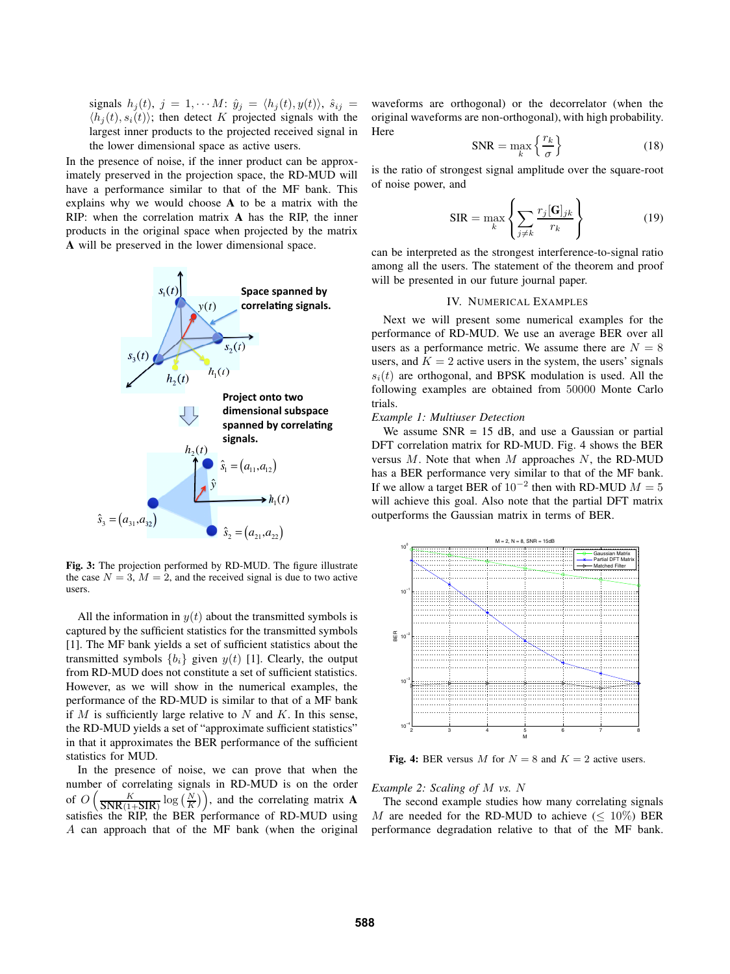signals  $h_i(t)$ ,  $j = 1, \cdots M$ :  $\hat{y}_i = \langle h_i(t), y(t) \rangle$ ,  $\hat{s}_{ij}$  $\langle h_i(t), s_i(t) \rangle$ ; then detect K projected signals with the largest inner products to the projected received signal in the lower dimensional space as active users.

In the presence of noise, if the inner product can be approximately preserved in the projection space, the RD-MUD will have a performance similar to that of the MF bank. This explains why we would choose **A** to be a matrix with the RIP: when the correlation matrix **A** has the RIP, the inner products in the original space when projected by the matrix **A** will be preserved in the lower dimensional space.



**Fig. 3:** The projection performed by RD-MUD. The figure illustrate the case  $N = 3$ ,  $M = 2$ , and the received signal is due to two active users.

All the information in  $y(t)$  about the transmitted symbols is captured by the sufficient statistics for the transmitted symbols [1]. The MF bank yields a set of sufficient statistics about the transmitted symbols  ${b_i}$  given  $y(t)$  [1]. Clearly, the output from RD-MUD does not constitute a set of sufficient statistics. However, as we will show in the numerical examples, the performance of the RD-MUD is similar to that of a MF bank if  $M$  is sufficiently large relative to  $N$  and  $K$ . In this sense, the RD-MUD yields a set of "approximate sufficient statistics" in that it approximates the BER performance of the sufficient statistics for MUD.

In the presence of noise, we can prove that when the number of correlating signals in RD-MUD is on the order of  $O\left(\frac{K}{SNR(1+SIR)}\log\left(\frac{N}{K}\right)\right)$ , and the correlating matrix **A** satisfies the RIP, the BER performance of RD-MUD using A can approach that of the MF bank (when the original

waveforms are orthogonal) or the decorrelator (when the original waveforms are non-orthogonal), with high probability. Here

$$
SNR = \max_{k} \left\{ \frac{r_k}{\sigma} \right\} \tag{18}
$$

is the ratio of strongest signal amplitude over the square-root of noise power, and

$$
SIR = \max_{k} \left\{ \sum_{j \neq k} \frac{r_j[\mathbf{G}]_{jk}}{r_k} \right\} \tag{19}
$$

can be interpreted as the strongest interference-to-signal ratio among all the users. The statement of the theorem and proof will be presented in our future journal paper.

## IV. NUMERICAL EXAMPLES

Next we will present some numerical examples for the performance of RD-MUD. We use an average BER over all users as a performance metric. We assume there are  $N = 8$ users, and  $K = 2$  active users in the system, the users' signals  $s_i(t)$  are orthogonal, and BPSK modulation is used. All the following examples are obtained from 50000 Monte Carlo trials.

### *Example 1: Multiuser Detection*

We assume  $SNR = 15$  dB, and use a Gaussian or partial DFT correlation matrix for RD-MUD. Fig. 4 shows the BER versus  $M$ . Note that when  $M$  approaches  $N$ , the RD-MUD has a BER performance very similar to that of the MF bank. If we allow a target BER of  $10^{-2}$  then with RD-MUD  $M = 5$ will achieve this goal. Also note that the partial DFT matrix outperforms the Gaussian matrix in terms of BER.



**Fig. 4:** BER versus M for  $N = 8$  and  $K = 2$  active users.

*Example 2: Scaling of* M *vs.* N

The second example studies how many correlating signals M are needed for the RD-MUD to achieve ( $\leq 10\%$ ) BER performance degradation relative to that of the MF bank.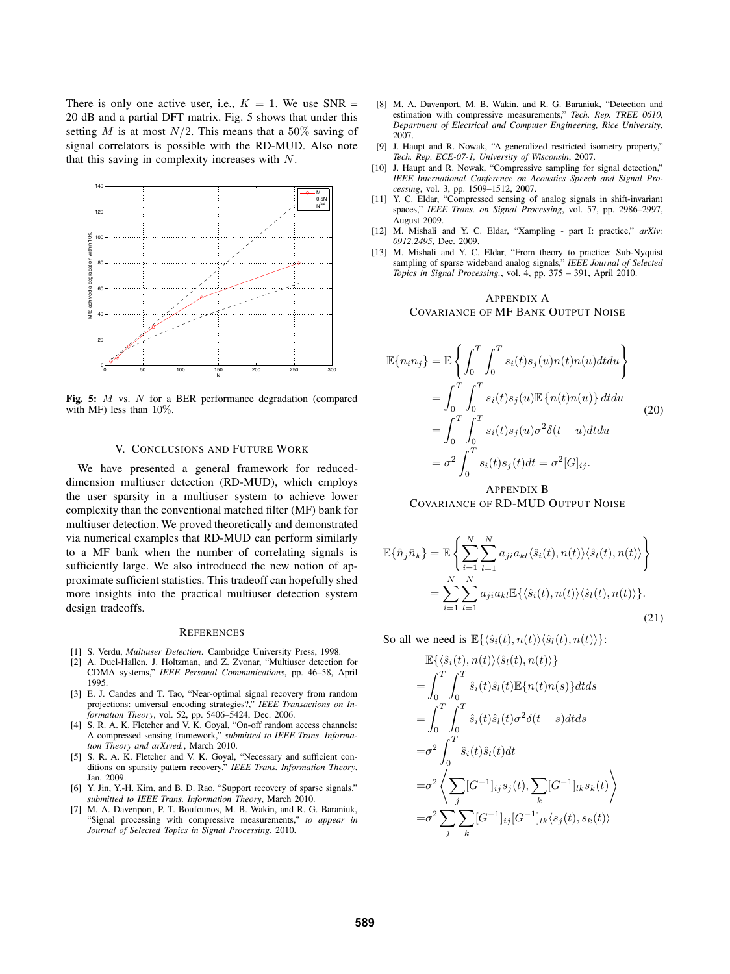There is only one active user, i.e.,  $K = 1$ . We use SNR = 20 dB and a partial DFT matrix. Fig. 5 shows that under this setting M is at most  $N/2$ . This means that a 50% saving of signal correlators is possible with the RD-MUD. Also note that this saving in complexity increases with N.



**Fig. 5:** M vs. N for a BER performance degradation (compared with MF) less than 10%.

# V. CONCLUSIONS AND FUTURE WORK

We have presented a general framework for reduceddimension multiuser detection (RD-MUD), which employs the user sparsity in a multiuser system to achieve lower complexity than the conventional matched filter (MF) bank for multiuser detection. We proved theoretically and demonstrated via numerical examples that RD-MUD can perform similarly to a MF bank when the number of correlating signals is sufficiently large. We also introduced the new notion of approximate sufficient statistics. This tradeoff can hopefully shed more insights into the practical multiuser detection system design tradeoffs.

#### **REFERENCES**

- [1] S. Verdu, *Multiuser Detection*. Cambridge University Press, 1998.
- [2] A. Duel-Hallen, J. Holtzman, and Z. Zvonar, "Multiuser detection for CDMA systems," *IEEE Personal Communications*, pp. 46–58, April 1995.
- [3] E. J. Candes and T. Tao, "Near-optimal signal recovery from random projections: universal encoding strategies?," *IEEE Transactions on Information Theory*, vol. 52, pp. 5406–5424, Dec. 2006.
- [4] S. R. A. K. Fletcher and V. K. Goyal, "On-off random access channels: A compressed sensing framework," *submitted to IEEE Trans. Information Theory and arXived.*, March 2010.
- [5] S. R. A. K. Fletcher and V. K. Goyal, "Necessary and sufficient conditions on sparsity pattern recovery," *IEEE Trans. Information Theory*, Jan. 2009.
- [6] Y. Jin, Y.-H. Kim, and B. D. Rao, "Support recovery of sparse signals," *submitted to IEEE Trans. Information Theory*, March 2010.
- [7] M. A. Davenport, P. T. Boufounos, M. B. Wakin, and R. G. Baraniuk, "Signal processing with compressive measurements," *to appear in Journal of Selected Topics in Signal Processing*, 2010.
- [8] M. A. Davenport, M. B. Wakin, and R. G. Baraniuk, "Detection and estimation with compressive measurements," *Tech. Rep. TREE 0610, Department of Electrical and Computer Engineering, Rice University*, 2007.
- [9] J. Haupt and R. Nowak, "A generalized restricted isometry property," *Tech. Rep. ECE-07-1, University of Wisconsin*, 2007.
- [10] J. Haupt and R. Nowak, "Compressive sampling for signal detection," *IEEE International Conference on Acoustics Speech and Signal Processing*, vol. 3, pp. 1509–1512, 2007.
- [11] Y. C. Eldar, "Compressed sensing of analog signals in shift-invariant spaces," *IEEE Trans. on Signal Processing*, vol. 57, pp. 2986–2997, August 2009.
- [12] M. Mishali and Y. C. Eldar, "Xampling part I: practice," *arXiv: 0912.2495*, Dec. 2009.
- [13] M. Mishali and Y. C. Eldar, "From theory to practice: Sub-Nyquist sampling of sparse wideband analog signals," *IEEE Journal of Selected Topics in Signal Processing,*, vol. 4, pp. 375 – 391, April 2010.

# APPENDIX A COVARIANCE OF MF BANK OUTPUT NOISE

$$
\mathbb{E}\{n_i n_j\} = \mathbb{E}\left\{\int_0^T \int_0^T s_i(t) s_j(u) n(t) n(u) dt du\right\}
$$
  
\n
$$
= \int_0^T \int_0^T s_i(t) s_j(u) \mathbb{E}\left\{n(t) n(u)\right\} dt du
$$
  
\n
$$
= \int_0^T \int_0^T s_i(t) s_j(u) \sigma^2 \delta(t - u) dt du
$$
  
\n
$$
= \sigma^2 \int_0^T s_i(t) s_j(t) dt = \sigma^2[G]_{ij}.
$$
\n(20)

APPENDIX B COVARIANCE OF RD-MUD OUTPUT NOISE

$$
\mathbb{E}\{\hat{n}_j\hat{n}_k\} = \mathbb{E}\left\{\sum_{i=1}^N \sum_{l=1}^N a_{ji}a_{kl}\langle\hat{s}_i(t), n(t)\rangle\langle\hat{s}_l(t), n(t)\rangle\right\}
$$

$$
= \sum_{i=1}^N \sum_{l=1}^N a_{ji}a_{kl}\mathbb{E}\{\langle\hat{s}_i(t), n(t)\rangle\langle\hat{s}_l(t), n(t)\rangle\}.
$$
(21)

So all we need is  $\mathbb{E}\{\langle \hat{s}_i(t), n(t) \rangle \langle \hat{s}_l(t), n(t) \rangle\}$ :

$$
\mathbb{E}\{\langle \hat{s}_i(t), n(t) \rangle \langle \hat{s}_l(t), n(t) \rangle\} \n= \int_0^T \int_0^T \hat{s}_i(t) \hat{s}_l(t) \mathbb{E}\{n(t)n(s)\} dt ds \n= \int_0^T \int_0^T \hat{s}_i(t) \hat{s}_l(t) \sigma^2 \delta(t-s) dt ds \n= \sigma^2 \int_0^T \hat{s}_i(t) \hat{s}_l(t) dt \n= \sigma^2 \left\langle \sum_j [G^{-1}]_{ij} s_j(t), \sum_k [G^{-1}]_{lk} s_k(t) \right\rangle \n= \sigma^2 \sum_j \sum_k [G^{-1}]_{ij} [G^{-1}]_{lk} \langle s_j(t), s_k(t) \rangle
$$